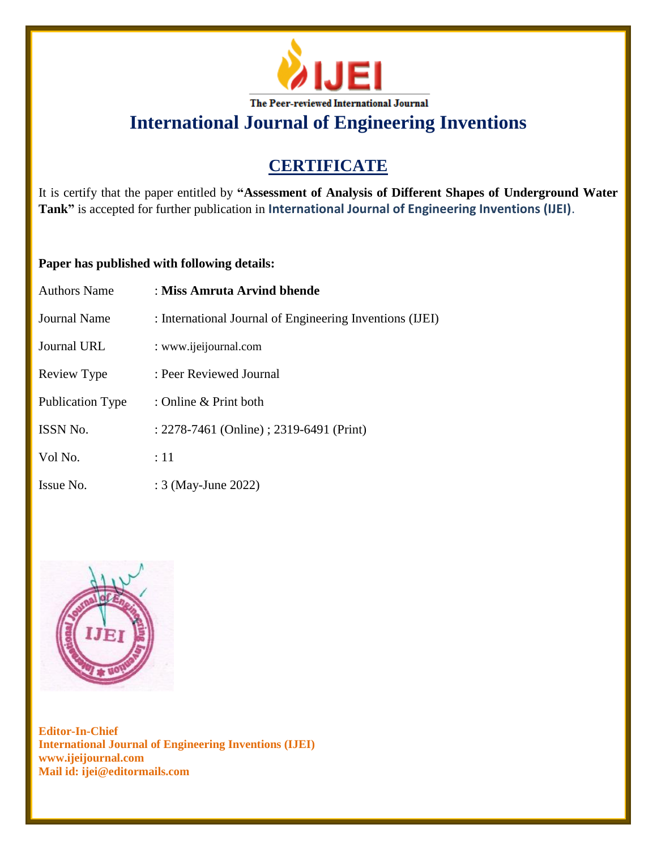

**International Journal of Engineering Inventions**

## **CERTIFICATE**

It is certify that the paper entitled by **"Assessment of Analysis of Different Shapes of Underground Water Tank"** is accepted for further publication in **International Journal of Engineering Inventions (IJEI)**.

## **Paper has published with following details:**

| <b>Authors Name</b> | : Miss Amruta Arvind bhende                              |
|---------------------|----------------------------------------------------------|
| <b>Journal Name</b> | : International Journal of Engineering Inventions (IJEI) |
| Journal URL         | : www.ijeijournal.com                                    |
| Review Type         | : Peer Reviewed Journal                                  |
| Publication Type    | : Online & Print both                                    |
| ISSN No.            | : 2278-7461 (Online) ; 2319-6491 (Print)                 |
| Vol No.             | :11                                                      |
| Issue No.           | : 3 (May-June 2022)                                      |



**Editor-In-Chief International Journal of Engineering Inventions (IJEI) www.ijeijournal.com Mail id: ijei@editormails.com**